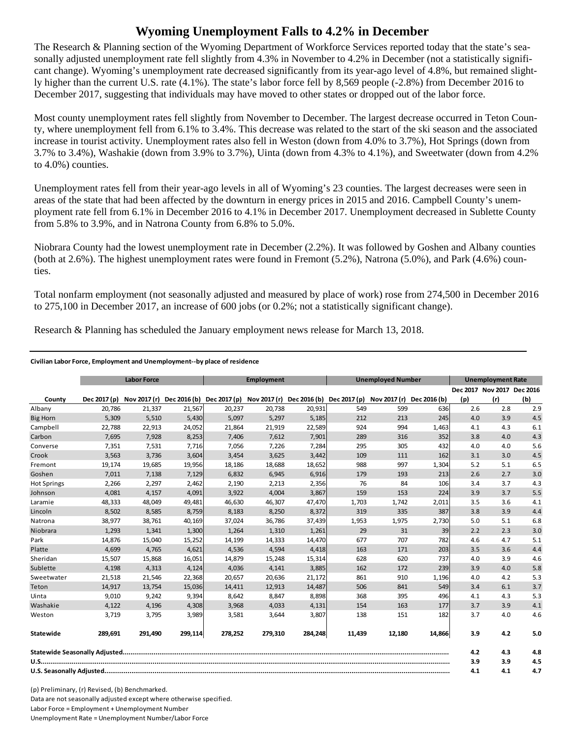## **Wyoming Unemployment Falls to 4.2% in December**

The Research & Planning section of the Wyoming Department of Workforce Services reported today that the state's seasonally adjusted unemployment rate fell slightly from 4.3% in November to 4.2% in December (not a statistically significant change). Wyoming's unemployment rate decreased significantly from its year-ago level of 4.8%, but remained slightly higher than the current U.S. rate (4.1%). The state's labor force fell by 8,569 people (-2.8%) from December 2016 to December 2017, suggesting that individuals may have moved to other states or dropped out of the labor force.

Most county unemployment rates fell slightly from November to December. The largest decrease occurred in Teton County, where unemployment fell from 6.1% to 3.4%. This decrease was related to the start of the ski season and the associated increase in tourist activity. Unemployment rates also fell in Weston (down from 4.0% to 3.7%), Hot Springs (down from 3.7% to 3.4%), Washakie (down from 3.9% to 3.7%), Uinta (down from 4.3% to 4.1%), and Sweetwater (down from 4.2% to 4.0%) counties.

Unemployment rates fell from their year-ago levels in all of Wyoming's 23 counties. The largest decreases were seen in areas of the state that had been affected by the downturn in energy prices in 2015 and 2016. Campbell County's unemployment rate fell from 6.1% in December 2016 to 4.1% in December 2017. Unemployment decreased in Sublette County from 5.8% to 3.9%, and in Natrona County from 6.8% to 5.0%.

Niobrara County had the lowest unemployment rate in December (2.2%). It was followed by Goshen and Albany counties (both at 2.6%). The highest unemployment rates were found in Fremont (5.2%), Natrona (5.0%), and Park (4.6%) counties.

Total nonfarm employment (not seasonally adjusted and measured by place of work) rose from 274,500 in December 2016 to 275,100 in December 2017, an increase of 600 jobs (or 0.2%; not a statistically significant change).

Research & Planning has scheduled the January employment news release for March 13, 2018.

## **Civilian Labor Force, Employment and Unemployment‐‐by place of residence**

|                    | <b>Labor Force</b> |         | <b>Employment</b> |                                                                               |         | <b>Unemployed Number</b> |        |              | <b>Unemployment Rate</b> |     |                            |     |
|--------------------|--------------------|---------|-------------------|-------------------------------------------------------------------------------|---------|--------------------------|--------|--------------|--------------------------|-----|----------------------------|-----|
|                    |                    |         |                   |                                                                               |         |                          |        |              |                          |     | Dec 2017 Nov 2017 Dec 2016 |     |
| County             | Dec 2017 (p)       |         |                   | Nov 2017 (r) Dec 2016 (b) Dec 2017 (p) Nov 2017 (r) Dec 2016 (b) Dec 2017 (p) |         |                          |        | Nov 2017 (r) | Dec 2016 (b)             | (p) | (r)                        | (b) |
| Albany             | 20,786             | 21,337  | 21,567            | 20,237                                                                        | 20,738  | 20,931                   | 549    | 599          | 636                      | 2.6 | 2.8                        | 2.9 |
| <b>Big Horn</b>    | 5,309              | 5,510   | 5,430             | 5,097                                                                         | 5,297   | 5,185                    | 212    | 213          | 245                      | 4.0 | 3.9                        | 4.5 |
| Campbell           | 22,788             | 22,913  | 24,052            | 21,864                                                                        | 21,919  | 22,589                   | 924    | 994          | 1,463                    | 4.1 | 4.3                        | 6.1 |
| Carbon             | 7,695              | 7,928   | 8,253             | 7,406                                                                         | 7,612   | 7,901                    | 289    | 316          | 352                      | 3.8 | 4.0                        | 4.3 |
| Converse           | 7,351              | 7,531   | 7,716             | 7,056                                                                         | 7,226   | 7,284                    | 295    | 305          | 432                      | 4.0 | 4.0                        | 5.6 |
| Crook              | 3,563              | 3,736   | 3,604             | 3,454                                                                         | 3,625   | 3,442                    | 109    | 111          | 162                      | 3.1 | 3.0                        | 4.5 |
| Fremont            | 19,174             | 19,685  | 19,956            | 18,186                                                                        | 18,688  | 18,652                   | 988    | 997          | 1,304                    | 5.2 | 5.1                        | 6.5 |
| Goshen             | 7,011              | 7,138   | 7,129             | 6,832                                                                         | 6,945   | 6,916                    | 179    | 193          | 213                      | 2.6 | 2.7                        | 3.0 |
| <b>Hot Springs</b> | 2,266              | 2,297   | 2,462             | 2,190                                                                         | 2,213   | 2,356                    | 76     | 84           | 106                      | 3.4 | 3.7                        | 4.3 |
| Johnson            | 4,081              | 4,157   | 4,091             | 3,922                                                                         | 4,004   | 3,867                    | 159    | 153          | 224                      | 3.9 | 3.7                        | 5.5 |
| Laramie            | 48,333             | 48,049  | 49,481            | 46,630                                                                        | 46,307  | 47,470                   | 1,703  | 1,742        | 2,011                    | 3.5 | 3.6                        | 4.1 |
| Lincoln            | 8,502              | 8,585   | 8,759             | 8,183                                                                         | 8,250   | 8,372                    | 319    | 335          | 387                      | 3.8 | 3.9                        | 4.4 |
| Natrona            | 38,977             | 38,761  | 40,169            | 37.024                                                                        | 36.786  | 37,439                   | 1,953  | 1,975        | 2,730                    | 5.0 | 5.1                        | 6.8 |
| Niobrara           | 1.293              | 1.341   | 1,300             | 1.264                                                                         | 1.310   | 1,261                    | 29     | 31           | 39                       | 2.2 | 2.3                        | 3.0 |
| Park               | 14,876             | 15,040  | 15,252            | 14,199                                                                        | 14,333  | 14,470                   | 677    | 707          | 782                      | 4.6 | 4.7                        | 5.1 |
| Platte             | 4,699              | 4,765   | 4,621             | 4,536                                                                         | 4,594   | 4,418                    | 163    | 171          | 203                      | 3.5 | 3.6                        | 4.4 |
| Sheridan           | 15,507             | 15,868  | 16,051            | 14,879                                                                        | 15,248  | 15,314                   | 628    | 620          | 737                      | 4.0 | 3.9                        | 4.6 |
| Sublette           | 4,198              | 4,313   | 4,124             | 4,036                                                                         | 4,141   | 3,885                    | 162    | 172          | 239                      | 3.9 | 4.0                        | 5.8 |
| Sweetwater         | 21,518             | 21,546  | 22,368            | 20,657                                                                        | 20,636  | 21,172                   | 861    | 910          | 1,196                    | 4.0 | 4.2                        | 5.3 |
| Teton              | 14,917             | 13,754  | 15,036            | 14,411                                                                        | 12,913  | 14,487                   | 506    | 841          | 549                      | 3.4 | 6.1                        | 3.7 |
| Uinta              | 9,010              | 9,242   | 9,394             | 8,642                                                                         | 8,847   | 8,898                    | 368    | 395          | 496                      | 4.1 | 4.3                        | 5.3 |
| Washakie           | 4,122              | 4,196   | 4,308             | 3,968                                                                         | 4,033   | 4,131                    | 154    | 163          | 177                      | 3.7 | 3.9                        | 4.1 |
| Weston             | 3,719              | 3,795   | 3,989             | 3,581                                                                         | 3,644   | 3,807                    | 138    | 151          | 182                      | 3.7 | 4.0                        | 4.6 |
| Statewide          | 289,691            | 291,490 | 299,114           | 278,252                                                                       | 279,310 | 284,248                  | 11,439 | 12,180       | 14,866                   | 3.9 | 4.2                        | 5.0 |
|                    |                    |         |                   |                                                                               |         |                          |        | 4.2          | 4.3                      | 4.8 |                            |     |
|                    |                    |         |                   |                                                                               |         |                          |        |              |                          | 3.9 | 3.9                        | 4.5 |
|                    |                    |         |                   |                                                                               |         |                          | 4.1    | 4.1          | 4.7                      |     |                            |     |

(p) Preliminary, (r) Revised, (b) Benchmarked. Data are not seasonally adjusted except where otherwise specified. Labor Force = Employment + Unemployment Number Unemployment Rate = Unemployment Number/Labor Force